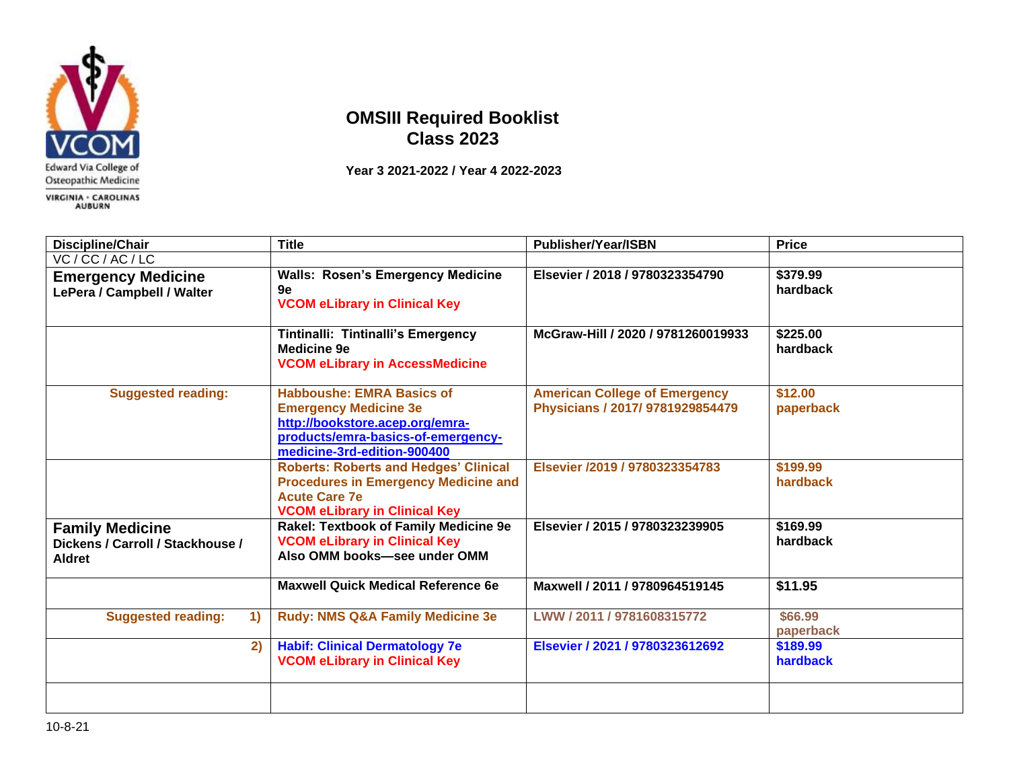

## **OMSIII Required Booklist Class 2023**

 **Year 3 2021-2022 / Year 4 2022-2023**

| Discipline/Chair                                                            | <b>Title</b>                                                                                                                                                             | <b>Publisher/Year/ISBN</b>                                               | <b>Price</b>         |
|-----------------------------------------------------------------------------|--------------------------------------------------------------------------------------------------------------------------------------------------------------------------|--------------------------------------------------------------------------|----------------------|
| VC / CC / AC / LC                                                           |                                                                                                                                                                          |                                                                          |                      |
| <b>Emergency Medicine</b><br>LePera / Campbell / Walter                     | <b>Walls: Rosen's Emergency Medicine</b><br>9e<br><b>VCOM eLibrary in Clinical Key</b>                                                                                   | Elsevier / 2018 / 9780323354790                                          | \$379.99<br>hardback |
|                                                                             | Tintinalli: Tintinalli's Emergency<br><b>Medicine 9e</b><br><b>VCOM eLibrary in AccessMedicine</b>                                                                       | McGraw-Hill / 2020 / 9781260019933                                       | \$225.00<br>hardback |
| <b>Suggested reading:</b>                                                   | <b>Habboushe: EMRA Basics of</b><br><b>Emergency Medicine 3e</b><br>http://bookstore.acep.org/emra-<br>products/emra-basics-of-emergency-<br>medicine-3rd-edition-900400 | <b>American College of Emergency</b><br>Physicians / 2017/ 9781929854479 | \$12.00<br>paperback |
|                                                                             | <b>Roberts: Roberts and Hedges' Clinical</b><br><b>Procedures in Emergency Medicine and</b><br><b>Acute Care 7e</b><br><b>VCOM eLibrary in Clinical Key</b>              | Elsevier /2019 / 9780323354783                                           | \$199.99<br>hardback |
| <b>Family Medicine</b><br>Dickens / Carroll / Stackhouse /<br><b>Aldret</b> | Rakel: Textbook of Family Medicine 9e<br><b>VCOM eLibrary in Clinical Key</b><br>Also OMM books-see under OMM                                                            | Elsevier / 2015 / 9780323239905                                          | \$169.99<br>hardback |
|                                                                             | <b>Maxwell Quick Medical Reference 6e</b>                                                                                                                                | Maxwell / 2011 / 9780964519145                                           | \$11.95              |
| <b>Suggested reading:</b><br>$\left( \mathbf{1}\right)$                     | <b>Rudy: NMS Q&amp;A Family Medicine 3e</b>                                                                                                                              | LWW / 2011 / 9781608315772                                               | \$66.99<br>paperback |
| 2)                                                                          | <b>Habif: Clinical Dermatology 7e</b><br><b>VCOM eLibrary in Clinical Key</b>                                                                                            | Elsevier / 2021 / 9780323612692                                          | \$189.99<br>hardback |
|                                                                             |                                                                                                                                                                          |                                                                          |                      |